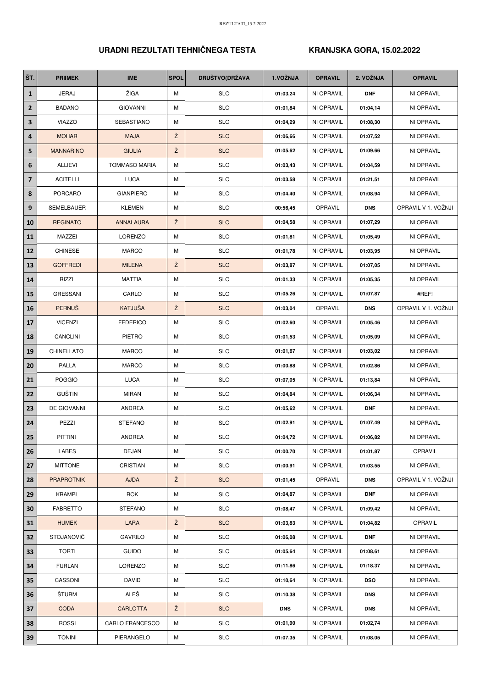## **URADNI REZULTATI TEHNIČNEGA TESTA KRANJSKA GORA, 15.02.2022**

| ŠT.                     | <b>PRIIMEK</b>    | <b>IME</b>           | <b>SPOL</b> | <b>DRUŠTVO(DRŽAVA</b> | 1.VOŽNJA   | <b>OPRAVIL</b> | 2. VOŽNJA  | <b>OPRAVIL</b>      |
|-------------------------|-------------------|----------------------|-------------|-----------------------|------------|----------------|------------|---------------------|
| $\mathbf{1}$            | <b>JERAJ</b>      | ŽIGA                 | М           | <b>SLO</b>            | 01:03,24   | NI OPRAVIL     | <b>DNF</b> | NI OPRAVIL          |
| $\mathbf{2}$            | <b>BADANO</b>     | <b>GIOVANNI</b>      | М           | <b>SLO</b>            | 01:01,84   | NI OPRAVIL     | 01:04,14   | NI OPRAVIL          |
| 3                       | <b>VIAZZO</b>     | SEBASTIANO           | М           | <b>SLO</b>            | 01:04,29   | NI OPRAVIL     | 01:08,30   | NI OPRAVIL          |
| 4                       | <b>MOHAR</b>      | <b>MAJA</b>          | Ž           | <b>SLO</b>            | 01:06,66   | NI OPRAVIL     | 01:07,52   | NI OPRAVIL          |
| 5                       | <b>MANNARINO</b>  | <b>GIULIA</b>        | Ž           | <b>SLO</b>            | 01:05,62   | NI OPRAVIL     | 01:09,66   | NI OPRAVIL          |
| 6                       | <b>ALLIEVI</b>    | <b>TOMMASO MARIA</b> | М           | <b>SLO</b>            | 01:03,43   | NI OPRAVIL     | 01:04,59   | NI OPRAVIL          |
| $\overline{\mathbf{z}}$ | <b>ACITELLI</b>   | <b>LUCA</b>          | M           | <b>SLO</b>            | 01:03,58   | NI OPRAVIL     | 01:21,51   | NI OPRAVIL          |
| 8                       | <b>PORCARO</b>    | <b>GIANPIERO</b>     | М           | <b>SLO</b>            | 01:04,40   | NI OPRAVIL     | 01:08,94   | NI OPRAVIL          |
| 9                       | SEMELBAUER        | <b>KLEMEN</b>        | М           | <b>SLO</b>            | 00:56,45   | OPRAVIL        | <b>DNS</b> | OPRAVIL V 1. VOŽNJI |
| 10                      | <b>REGINATO</b>   | <b>ANNALAURA</b>     | Ž           | <b>SLO</b>            | 01:04,58   | NI OPRAVIL     | 01:07,29   | NI OPRAVIL          |
| 11                      | MAZZEI            | LORENZO              | М           | <b>SLO</b>            | 01:01,81   | NI OPRAVIL     | 01:05,49   | NI OPRAVIL          |
| 12                      | <b>CHINESE</b>    | <b>MARCO</b>         | М           | <b>SLO</b>            | 01:01,78   | NI OPRAVIL     | 01:03,95   | NI OPRAVIL          |
| 13                      | <b>GOFFREDI</b>   | <b>MILENA</b>        | Ž           | <b>SLO</b>            | 01:03,87   | NI OPRAVIL     | 01:07,05   | NI OPRAVIL          |
| 14                      | <b>RIZZI</b>      | <b>MATTIA</b>        | М           | <b>SLO</b>            | 01:01,33   | NI OPRAVIL     | 01:05,35   | NI OPRAVIL          |
| 15                      | <b>GRESSANI</b>   | CARLO                | М           | <b>SLO</b>            | 01:05,26   | NI OPRAVIL     | 01:07,87   | #REF!               |
| 16                      | <b>PERNUS</b>     | KATJUŠA              | Ž           | <b>SLO</b>            | 01:03,04   | OPRAVIL        | <b>DNS</b> | OPRAVIL V 1. VOŽNJI |
| 17                      | <b>VICENZI</b>    | <b>FEDERICO</b>      | М           | <b>SLO</b>            | 01:02,60   | NI OPRAVIL     | 01:05,46   | NI OPRAVIL          |
| 18                      | CANCLINI          | PIETRO               | М           | <b>SLO</b>            | 01:01,53   | NI OPRAVIL     | 01:05,09   | NI OPRAVIL          |
| 19                      | CHINELLATO        | <b>MARCO</b>         | М           | <b>SLO</b>            | 01:01,67   | NI OPRAVIL     | 01:03,02   | NI OPRAVIL          |
| 20                      | PALLA             | <b>MARCO</b>         | M           | <b>SLO</b>            | 01:00,88   | NI OPRAVIL     | 01:02,86   | NI OPRAVIL          |
| 21                      | <b>POGGIO</b>     | <b>LUCA</b>          | М           | <b>SLO</b>            | 01:07,05   | NI OPRAVIL     | 01:13,84   | NI OPRAVIL          |
| 22                      | <b>GUŠTIN</b>     | <b>MIRAN</b>         | М           | <b>SLO</b>            | 01:04,84   | NI OPRAVIL     | 01:06,34   | NI OPRAVIL          |
| 23                      | DE GIOVANNI       | <b>ANDREA</b>        | М           | <b>SLO</b>            | 01:05,62   | NI OPRAVIL     | <b>DNF</b> | NI OPRAVIL          |
| 24                      | PEZZI             | <b>STEFANO</b>       | М           | <b>SLO</b>            | 01:02,91   | NI OPRAVIL     | 01:07,49   | NI OPRAVIL          |
| 25                      | PITTINI           | ANDREA               | м           | <b>SLO</b>            | 01:04,72   | NI OPRAVIL     | 01:06,82   | NI OPRAVIL          |
| 26                      | LABES             | DEJAN                | М           | <b>SLO</b>            | 01:00,70   | NI OPRAVIL     | 01:01,87   | OPRAVIL             |
| 27                      | <b>MITTONE</b>    | CRISTIAN             | Μ           | <b>SLO</b>            | 01:00,91   | NI OPRAVIL     | 01:03,55   | NI OPRAVIL          |
| 28                      | <b>PRAPROTNIK</b> | <b>AJDA</b>          | Ž           | <b>SLO</b>            | 01:01,45   | <b>OPRAVIL</b> | <b>DNS</b> | OPRAVIL V 1. VOŽNJI |
| 29                      | <b>KRAMPL</b>     | ROK                  | М           | <b>SLO</b>            | 01:04,87   | NI OPRAVIL     | <b>DNF</b> | NI OPRAVIL          |
| 30                      | <b>FABRETTO</b>   | <b>STEFANO</b>       | М           | <b>SLO</b>            | 01:08,47   | NI OPRAVIL     | 01:09,42   | NI OPRAVIL          |
| 31                      | <b>HUMEK</b>      | LARA                 | Ž           | <b>SLO</b>            | 01:03,83   | NI OPRAVIL     | 01:04,82   | OPRAVIL             |
| 32                      | <b>STOJANOVIĆ</b> | <b>GAVRILO</b>       | М           | <b>SLO</b>            | 01:06,08   | NI OPRAVIL     | <b>DNF</b> | NI OPRAVIL          |
| 33                      | <b>TORTI</b>      | <b>GUIDO</b>         | М           | <b>SLO</b>            | 01:05,64   | NI OPRAVIL     | 01:08,61   | NI OPRAVIL          |
| 34                      | <b>FURLAN</b>     | LORENZO              | М           | <b>SLO</b>            | 01:11,86   | NI OPRAVIL     | 01:18,37   | NI OPRAVIL          |
| 35                      | CASSONI           | DAVID                | Μ           | <b>SLO</b>            | 01:10,64   | NI OPRAVIL     | <b>DSQ</b> | NI OPRAVIL          |
| 36                      | ŠTURM             | ALEŠ                 | М           | <b>SLO</b>            | 01:10,38   | NI OPRAVIL     | <b>DNS</b> | NI OPRAVIL          |
| 37                      | <b>CODA</b>       | <b>CARLOTTA</b>      | Ž           | <b>SLO</b>            | <b>DNS</b> | NI OPRAVIL     | <b>DNS</b> | NI OPRAVIL          |
| 38                      | <b>ROSSI</b>      | CARLO FRANCESCO      | М           | <b>SLO</b>            | 01:01,90   | NI OPRAVIL     | 01:02,74   | NI OPRAVIL          |
| 39                      | <b>TONINI</b>     | PIERANGELO           | Μ           | <b>SLO</b>            | 01:07,35   | NI OPRAVIL     | 01:08,05   | NI OPRAVIL          |